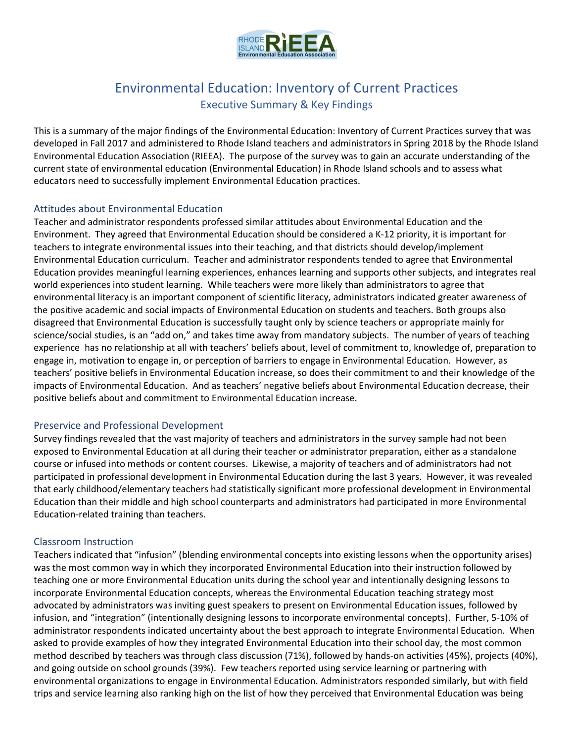

# Environmental Education: Inventory of Current Practices Executive Summary & Key Findings

This is a summary of the major findings of the Environmental Education: Inventory of Current Practices survey that was developed in Fall 2017 and administered to Rhode Island teachers and administrators in Spring 2018 by the Rhode Island Environmental Education Association (RIEEA). The purpose of the survey was to gain an accurate understanding of the current state of environmental education (Environmental Education) in Rhode Island schools and to assess what educators need to successfully implement Environmental Education practices.

## Attitudes about Environmental Education

Teacher and administrator respondents professed similar attitudes about Environmental Education and the Environment. They agreed that Environmental Education should be considered a K-12 priority, it is important for teachers to integrate environmental issues into their teaching, and that districts should develop/implement Environmental Education curriculum. Teacher and administrator respondents tended to agree that Environmental Education provides meaningful learning experiences, enhances learning and supports other subjects, and integrates real world experiences into student learning. While teachers were more likely than administrators to agree that environmental literacy is an important component of scientific literacy, administrators indicated greater awareness of the positive academic and social impacts of Environmental Education on students and teachers. Both groups also disagreed that Environmental Education is successfully taught only by science teachers or appropriate mainly for science/social studies, is an "add on," and takes time away from mandatory subjects. The number of years of teaching experience has no relationship at all with teachers' beliefs about, level of commitment to, knowledge of, preparation to engage in, motivation to engage in, or perception of barriers to engage in Environmental Education. However, as teachers' positive beliefs in Environmental Education increase, so does their commitment to and their knowledge of the impacts of Environmental Education. And as teachers' negative beliefs about Environmental Education decrease, their positive beliefs about and commitment to Environmental Education increase.

## Preservice and Professional Development

Survey findings revealed that the vast majority of teachers and administrators in the survey sample had not been exposed to Environmental Education at all during their teacher or administrator preparation, either as a standalone course or infused into methods or content courses. Likewise, a majority of teachers and of administrators had not participated in professional development in Environmental Education during the last 3 years. However, it was revealed that early childhood/elementary teachers had statistically significant more professional development in Environmental Education than their middle and high school counterparts and administrators had participated in more Environmental Education-related training than teachers.

## Classroom Instruction

Teachers indicated that "infusion" (blending environmental concepts into existing lessons when the opportunity arises) was the most common way in which they incorporated Environmental Education into their instruction followed by teaching one or more Environmental Education units during the school year and intentionally designing lessons to incorporate Environmental Education concepts, whereas the Environmental Education teaching strategy most advocated by administrators was inviting guest speakers to present on Environmental Education issues, followed by infusion, and "integration" (intentionally designing lessons to incorporate environmental concepts). Further, 5-10% of administrator respondents indicated uncertainty about the best approach to integrate Environmental Education. When asked to provide examples of how they integrated Environmental Education into their school day, the most common method described by teachers was through class discussion (71%), followed by hands-on activities (45%), projects (40%), and going outside on school grounds (39%). Few teachers reported using service learning or partnering with environmental organizations to engage in Environmental Education. Administrators responded similarly, but with field trips and service learning also ranking high on the list of how they perceived that Environmental Education was being